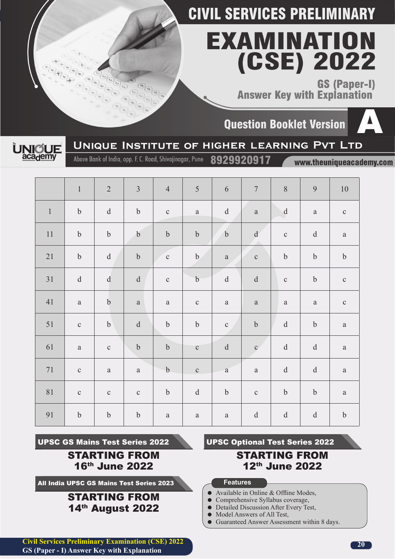# EXAMINATION (CSE) 2022

**GS (Paper-I) Answer Key with Explanation** 

**Question Booklet Version** 





8929920917

Above Bank of India, opp. F. C. Road, Shivajinagar, Pune

www.theuniqueacademy.com

|         | $\,1\,$          | $\sqrt{2}$                                        | $\overline{3}$   | $\overline{4}$   | 5            | $\sqrt{6}$                                                                                                   | $\overline{7}$                                                                                               | $\, 8$           | 9                | $10\,$           |
|---------|------------------|---------------------------------------------------|------------------|------------------|--------------|--------------------------------------------------------------------------------------------------------------|--------------------------------------------------------------------------------------------------------------|------------------|------------------|------------------|
| $\,1\,$ | $\boldsymbol{b}$ | ${\rm d}$                                         | $\bf b$          | $\mathbf{C}$     | $\rm{a}$     | $\mathrm{d}% \left\  \mathbf{G}\right\  ^{2}$                                                                | $\rm{a}$                                                                                                     | $\mathbf d$      | $\rm{a}$         | $\mathbf{C}$     |
| $11\,$  | $\mathbf b$      | $\boldsymbol{b}$                                  | $\boldsymbol{b}$ | $\boldsymbol{b}$ | $\bf b$      | $\mathbf b$                                                                                                  | $\mathrm{d}% \left\  \mathbf{r}^{\prime}\right\  _{A}\leq\mathrm{d}\left\  \mathbf{r}^{\prime}\right\  _{A}$ | $\mathbf{C}$     | $\mathbf d$      | $\rm{a}$         |
| 21      | $\boldsymbol{b}$ | $\mathrm{d}% \left\  \mathbf{r}_{i}\right\  ^{2}$ | $\mathbf b$      | $\mathbf{C}$     | $\mathbf b$  | $\rm{a}$                                                                                                     | $\mathbf C$                                                                                                  | $\mathbf b$      | $\boldsymbol{b}$ | $\boldsymbol{b}$ |
| $31\,$  | $\rm d$          | ${\rm d}$                                         | ${\rm d}$        | $\mathbf{C}$     | $\bf b$      | $\mathbf d$                                                                                                  | $\rm d$                                                                                                      | $\mathbf C$      | $\mathbf b$      | $\mathbf C$      |
| 41      | $\rm{a}$         | $\boldsymbol{b}$                                  | $\rm{a}$         | $\rm{a}$         | $\mathbf C$  | $\rm{a}$                                                                                                     | $\rm{a}$                                                                                                     | $\rm{a}$         | $\rm{a}$         | $\mathbf C$      |
| 51      | $\mathbf C$      | $\mathbf b$                                       | ${\rm d}$        | $\boldsymbol{b}$ | $\bf b$      | $\mathbf{C}$                                                                                                 | $\rm b$                                                                                                      | $\mathbf d$      | $\boldsymbol{b}$ | $\rm{a}$         |
| 61      | $\rm{a}$         | $\mathbf C$                                       | $\boldsymbol{b}$ | $\boldsymbol{b}$ | $\mathbf C$  | $\mathrm{d}% \left\  \mathbf{r}^{\prime}\right\  _{A}\leq\mathrm{d}\left\  \mathbf{r}^{\prime}\right\  _{A}$ | $\mathbf{c}$                                                                                                 | $\rm d$          | $\rm d$          | $\rm{a}$         |
| $71\,$  | $\mathbf C$      | $\rm{a}$                                          | $\rm{a}$         | $\mathbf b$      | $\mathbf{C}$ | $\mathbf{a}$                                                                                                 | $\rm{a}$                                                                                                     | ${\rm d}$        | $\rm d$          | $\rm{a}$         |
| $81\,$  | $\mathbf C$      | $\mathbf{C}$                                      | $\mathbf{C}$     | $\boldsymbol{b}$ | $\rm d$      | $\boldsymbol{b}$                                                                                             | $\mathbf{C}$                                                                                                 | $\boldsymbol{b}$ | $\boldsymbol{b}$ | $\rm{a}$         |
| 91      | $\boldsymbol{b}$ | $\boldsymbol{b}$                                  | $\boldsymbol{b}$ | $\rm{a}$         | $\rm{a}$     | $\rm{a}$                                                                                                     | $\rm d$                                                                                                      | ${\rm d}$        | $\rm d$          | $\boldsymbol{b}$ |

UPSC GS Mains Test Series 2022

STARTING FROM 16th June 2022

All India UPSC GS Mains Test Series 2023

### STARTING FROM 14th August 2022

UPSC Optional Test Series 2022

### STARTING FROM 12th June 2022

### **Features**

- Available in Online & Offline Modes,
- Comprehensive Syllabus coverage,<br>• Detailed Discussion After Every Te
- Detailed Discussion After Every Test,
- Model Answers of All Test,
- Guaranteed Answer Assessment within 8 days.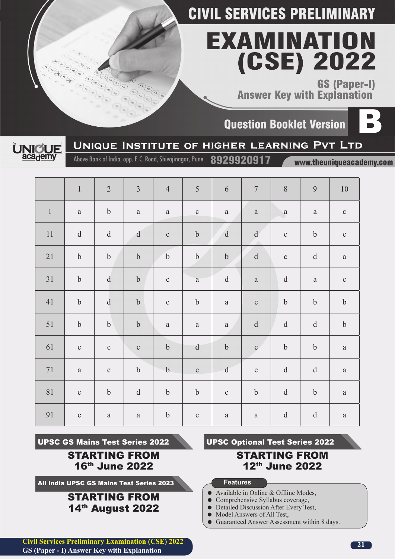# EXAMINATION (CSE) 2022

**GS (Paper-I) Answer Key with Explanation** 

**Ouestion Booklet Version** 





Above Bank of India, opp. F. C. Road, Shivajinagar, Pune

8929920917

www.theuniqueacademy.com

|                  | $\mathbf 1$      | $\sqrt{2}$       | $\mathfrak{Z}$   | $\overline{4}$   | $\sqrt{5}$       | $\sqrt{6}$                                        | $\overline{7}$      | $8\,$                                                                                                                                                                                                                                                                                                                                                                                                                                        | $\overline{9}$                                | $10\,$           |
|------------------|------------------|------------------|------------------|------------------|------------------|---------------------------------------------------|---------------------|----------------------------------------------------------------------------------------------------------------------------------------------------------------------------------------------------------------------------------------------------------------------------------------------------------------------------------------------------------------------------------------------------------------------------------------------|-----------------------------------------------|------------------|
| $\boldsymbol{1}$ | $\rm{a}$         | $\boldsymbol{b}$ | $\rm{a}$         | $\rm{a}$         | $\mathbf{C}$     | $\rm{a}$                                          | $\rm{a}$            | $\mathbf{a}$                                                                                                                                                                                                                                                                                                                                                                                                                                 | $\rm{a}$                                      | $\mathbf C$      |
| $11$             | ${\rm d}$        | ${\rm d}$        | $\mathbf d$      | $\mathbf C$      | $\boldsymbol{b}$ | ${\bf d}$                                         | $\mathrm{d} \alpha$ | $\mathbf{C}$                                                                                                                                                                                                                                                                                                                                                                                                                                 | $\mathbf b$                                   | $\mathbf{C}$     |
| $21\,$           | $\boldsymbol{b}$ | $\boldsymbol{b}$ | $\boldsymbol{b}$ | $\mathbf b$      | $\mathbf b$      | $\boldsymbol{b}$                                  | ${\rm d}$           | $\mathbf C$                                                                                                                                                                                                                                                                                                                                                                                                                                  | ${\rm d}$                                     | $\rm{a}$         |
| 31               | $\boldsymbol{b}$ | $\rm d$          | $\mathbf b$      | $\mathbf C$      | $\rm{a}$         | $\mathbf d$                                       | $\rm{a}$            | $\mathrm{d}% \left\  \mathbf{r}^{\prime}\right\  _{A}\leq\mathrm{d}\left\  \mathbf{r}^{\prime}\right\  _{A}$                                                                                                                                                                                                                                                                                                                                 | $\rm{a}$                                      | $\mathbf C$      |
| 41               | $\boldsymbol{b}$ | ${\rm d}$        | $\mathbf b$      | $\mathbf{C}$     | $\bf b$          | $\rm{a}$                                          | $\mathbf C$         | $\rm b$                                                                                                                                                                                                                                                                                                                                                                                                                                      | $\boldsymbol{b}$                              | $\mathbf b$      |
| 51               | $\mathbf b$      | $\boldsymbol{b}$ | $\mathbf b$      | $\rm{a}$         | $\rm{a}$         | $\rm{a}$                                          | ${\rm d}$           | $\mathrm{d}% \left\  \mathbf{r}^{\prime}\right\  _{A}\leq\mathrm{d}\left\  \mathbf{r}^{\prime}\right\  _{A}$                                                                                                                                                                                                                                                                                                                                 | ${\rm d}$                                     | $\boldsymbol{b}$ |
| 61               | $\mathbf{C}$     | $\mathbf{C}$     | $\mathbf C$      | $\boldsymbol{b}$ | $\rm d$          | $\boldsymbol{b}$                                  | $\mathbf{c}$        | $\boldsymbol{b}$                                                                                                                                                                                                                                                                                                                                                                                                                             | $\boldsymbol{\mathsf{b}}$                     | $\rm{a}$         |
| $71\,$           | $\rm{a}$         | $\mathbf C$      | $\boldsymbol{b}$ | $\mathbf b$      | $\mathbf{C}$     | $\mathrm{d}% \left\  \mathbf{r}_{i}\right\  ^{2}$ | $\mathbf{C}$        | $\mathrm{d}% \left\  \mathbf{r}_{i}^{*}\right\  _{A_{i}}=\mathrm{d}\left\  \mathbf{r}_{i}^{*}\right\  _{A_{i}}=\mathrm{d}\left\  \mathbf{r}_{i}^{*}\right\  _{A_{i}}=\mathrm{d}\left\  \mathbf{r}_{i}^{*}\right\  _{A_{i}}=\mathrm{d}\left\  \mathbf{r}_{i}^{*}\right\  _{A_{i}}=\mathrm{d}\left\  \mathbf{r}_{i}^{*}\right\  _{A_{i}}=\mathrm{d}\left\  \mathbf{r}_{i}^{*}\right\  _{A_{i}}=\mathrm{d}\left\  \mathbf{r}_{i}^{*}\right\  _$ | $\mathrm{d}% \left\  \mathbf{G}\right\  ^{2}$ | $\rm{a}$         |
| $8\sqrt{1}$      | $\mathbf C$      | $\rm b$          | ${\rm d}$        | $\boldsymbol{b}$ | $\bf b$          | $\mathbf C$                                       | $\rm b$             | ${\rm d}$                                                                                                                                                                                                                                                                                                                                                                                                                                    | $\boldsymbol{b}$                              | $\rm{a}$         |
| 91               | $\mathbf{C}$     | $\rm{a}$         | $\rm{a}$         | $\mathbf b$      | $\mathbf C$      | $\rm{a}$                                          | $\rm{a}$            | $\mathbf d$                                                                                                                                                                                                                                                                                                                                                                                                                                  | $\rm d$                                       | $\rm{a}$         |

UPSC GS Mains Test Series 2022

STARTING FROM 16th June 2022

All India UPSC GS Mains Test Series 2023

### STARTING FROM 14th August 2022

UPSC Optional Test Series 2022

### STARTING FROM 12th June 2022

### **Features**

- Available in Online & Offline Modes,
- Comprehensive Syllabus coverage,<br>• Detailed Discussion After Every Te
- Detailed Discussion After Every Test,
- Model Answers of All Test,
- Guaranteed Answer Assessment within 8 days.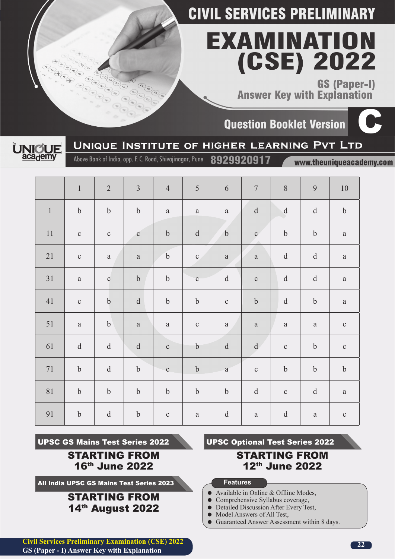# EXAMINATION (CSE) 2022

**GS (Paper-I) Answer Key with Explanation** 

**Question Booklet Version** 





Above Bank of India, opp. F. C. Road, Shivajinagar, Pune

8929920917

www.theuniqueacademy.com

|         | $\,1\,$          | $\sqrt{2}$                                                                                                   | $\mathfrak{Z}$                                | $\overline{4}$   | $\sqrt{5}$                | $\sqrt{6}$                                                                                                   | $\boldsymbol{7}$                                                                                                                                                                                                                                                                                                                                                                                                                             | $8\,$                                         | 9                                             | 10          |
|---------|------------------|--------------------------------------------------------------------------------------------------------------|-----------------------------------------------|------------------|---------------------------|--------------------------------------------------------------------------------------------------------------|----------------------------------------------------------------------------------------------------------------------------------------------------------------------------------------------------------------------------------------------------------------------------------------------------------------------------------------------------------------------------------------------------------------------------------------------|-----------------------------------------------|-----------------------------------------------|-------------|
| $\,1\,$ | $\boldsymbol{b}$ | $\boldsymbol{b}$                                                                                             | $\mathbf b$                                   | $\rm{a}$         | $\rm{a}$                  | $\rm{a}$                                                                                                     | $\mathrm{d}% \left\  \mathbf{r}_{i}^{*}\right\  _{A_{i}}=\mathrm{d}\left\  \mathbf{r}_{i}^{*}\right\  _{A_{i}}=\mathrm{d}\left\  \mathbf{r}_{i}^{*}\right\  _{A_{i}}=\mathrm{d}\left\  \mathbf{r}_{i}^{*}\right\  _{A_{i}}=\mathrm{d}\left\  \mathbf{r}_{i}^{*}\right\  _{A_{i}}=\mathrm{d}\left\  \mathbf{r}_{i}^{*}\right\  _{A_{i}}=\mathrm{d}\left\  \mathbf{r}_{i}^{*}\right\  _{A_{i}}=\mathrm{d}\left\  \mathbf{r}_{i}^{*}\right\  _$ | $\mathbf d$                                   | $\mathrm{d}% \left\  \mathbf{M}\right\  ^{2}$ | $\rm b$     |
| $11\,$  | $\mathbf C$      | $\mathbf C$                                                                                                  | $\mathbf{C}$                                  | $\mathbf b$      | ${\rm d}$                 | $\mathbf b$                                                                                                  | $\mathbf{c}$                                                                                                                                                                                                                                                                                                                                                                                                                                 | $\mathbf b$                                   | $\mathbf b$                                   | $\rm{a}$    |
| $21\,$  | $\mathbf C$      | $\rm{a}$                                                                                                     | $\rm{a}$                                      | $\boldsymbol{b}$ | $\mathbf{C}$              | $\rm{a}$                                                                                                     | $\rm{a}$                                                                                                                                                                                                                                                                                                                                                                                                                                     | $\rm d$                                       | $\rm d$                                       | $\rm{a}$    |
| $31\,$  | $\rm{a}$         | $\mathbf{C}$                                                                                                 | $\mathbf b$                                   | $\boldsymbol{b}$ | $\mathbf{C}$              | $\mathrm{d}% \left\  \mathbf{r}^{\prime}\right\  _{A}\leq\mathrm{d}\left\  \mathbf{r}^{\prime}\right\  _{A}$ | $\mathbf C$                                                                                                                                                                                                                                                                                                                                                                                                                                  | ${\rm d}$                                     | ${\rm d}$                                     | $\rm{a}$    |
| 41      | $\mathbf C$      | $\boldsymbol{b}$                                                                                             | $\mathrm{d}% \left\  \mathbf{G}\right\  ^{2}$ | $\boldsymbol{b}$ | $\boldsymbol{b}$          | $\mathbf C$                                                                                                  | $\mathbf b$                                                                                                                                                                                                                                                                                                                                                                                                                                  | $\mathrm{d}% \left\  \mathbf{G}\right\  ^{2}$ | $\boldsymbol{b}$                              | $\rm{a}$    |
| 51      | $\rm{a}$         | $\boldsymbol{b}$                                                                                             | $\rm{a}$                                      | $\rm{a}$         | $\mathbf C$               | $\rm{a}$                                                                                                     | $\rm{a}$                                                                                                                                                                                                                                                                                                                                                                                                                                     | $\rm{a}$                                      | $\rm{a}$                                      | $\mathbf C$ |
| 61      | ${\rm d}$        | ${\rm d}$                                                                                                    | ${\rm d}$                                     | $\mathbf{C}$     | $\boldsymbol{\mathsf{b}}$ | $\mathbf d$                                                                                                  | $\mathbf{d}$                                                                                                                                                                                                                                                                                                                                                                                                                                 | $\mathbf{C}$                                  | $\boldsymbol{b}$                              | $\mathbf C$ |
| $71\,$  | $\boldsymbol{b}$ | ${\rm d}$                                                                                                    | $\mathbf b$                                   | $\mathbf{C}$     | $\boldsymbol{b}$          | $\mathbf{a}$                                                                                                 | $\mathbf{C}$                                                                                                                                                                                                                                                                                                                                                                                                                                 | $\rm b$                                       | $\boldsymbol{b}$                              | $\rm b$     |
| $81\,$  | $\boldsymbol{b}$ | $\boldsymbol{b}$                                                                                             | $\boldsymbol{b}$                              | $\boldsymbol{b}$ | $\boldsymbol{b}$          | $\boldsymbol{b}$                                                                                             | $\mathrm{d}% \left\  \mathbf{G}\right\  ^{2}$                                                                                                                                                                                                                                                                                                                                                                                                | $\mathbf{C}$                                  | $\mathrm{d}% \left\  \mathbf{M}\right\  ^{2}$ | $\rm{a}$    |
| 91      | $\mathbf b$      | $\mathrm{d}% \left\  \mathbf{r}^{\prime}\right\  _{A}\leq\mathrm{d}\left\  \mathbf{r}^{\prime}\right\  _{A}$ | $\mathbf b$                                   | $\mathbf{C}$     | $\rm{a}$                  | $\mathbf d$                                                                                                  | $\rm{a}$                                                                                                                                                                                                                                                                                                                                                                                                                                     | $\rm d$                                       | $\rm{a}$                                      | $\mathbf C$ |

UPSC GS Mains Test Series 2022

STARTING FROM 16th June 2022

All India UPSC GS Mains Test Series 2023

### STARTING FROM 14th August 2022

UPSC Optional Test Series 2022

### STARTING FROM 12th June 2022

### **Features**

- Available in Online & Offline Modes,
- Comprehensive Syllabus coverage,<br>• Detailed Discussion After Every Te
- Detailed Discussion After Every Test,
- Model Answers of All Test,
- Guaranteed Answer Assessment within 8 days.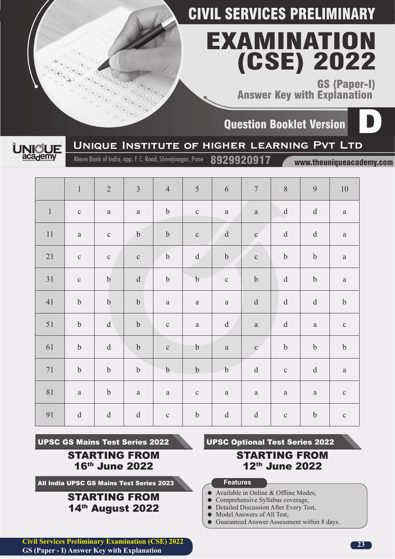# EXAMINATION (CSE) 2022

**GS (Paper-I) Answer Key with Explanation** 

**Ouestion Booklet Version** 





Above Bank of India, opp. F. C. Road, Shivajinagar, Pune

8929920917

www.theuniqueacademy.com

|             | $\,1\,$                                                | $\sqrt{2}$                                                                                                                                                                                                                                                                                                                                                                                                                                   | $\mathfrak{Z}$   | $\overline{4}$   | 5                         | $\sqrt{6}$                                                                                   | $\boldsymbol{7}$ | $8\,$            | $\mathbf{9}$     | $10\,$       |
|-------------|--------------------------------------------------------|----------------------------------------------------------------------------------------------------------------------------------------------------------------------------------------------------------------------------------------------------------------------------------------------------------------------------------------------------------------------------------------------------------------------------------------------|------------------|------------------|---------------------------|----------------------------------------------------------------------------------------------|------------------|------------------|------------------|--------------|
| $\mathbf 1$ | $\mathbf C$                                            | $\rm{a}$                                                                                                                                                                                                                                                                                                                                                                                                                                     | $\rm{a}$         | $\boldsymbol{b}$ | $\mathbf{C}$              | $\rm{a}$                                                                                     | $\rm{a}$         | $\mathbf{d}$     | $\rm d$          | $\rm{a}$     |
| 11          | $\rm{a}$                                               | $\mathbf C$                                                                                                                                                                                                                                                                                                                                                                                                                                  | $\boldsymbol{b}$ | $\mathbf b$      | $\mathbf C$               | ${\bf d}$                                                                                    | $\mathbf{C}$     | ${\rm d}$        | $\mathbf d$      | $\rm{a}$     |
| $21\,$      | $\mathbf{C}$                                           | $\mathbf{C}$                                                                                                                                                                                                                                                                                                                                                                                                                                 | $\mathbf{C}$     | $\boldsymbol{b}$ | $\mathbf d$               | $\boldsymbol{b}$                                                                             | $\mathbf C$      | $\boldsymbol{b}$ | $\mathbf b$      | $\rm{a}$     |
| $31\,$      | $\mathbf C$                                            | $\mathbf b$                                                                                                                                                                                                                                                                                                                                                                                                                                  | $\rm d$          | $\boldsymbol{b}$ | $\mathbf b$               | $\mathbf C$                                                                                  | $\boldsymbol{b}$ | ${\rm d}$        | $\boldsymbol{b}$ | $\rm{a}$     |
| $41\,$      | $\boldsymbol{b}$                                       | $\boldsymbol{b}$                                                                                                                                                                                                                                                                                                                                                                                                                             | $\mathbf b$      | $\rm{a}$         | $\rm{a}$                  | $\rm{a}$                                                                                     | ${\rm d}$        | ${\rm d}$        | $\rm d$          | $\mathbf b$  |
| $51\,$      | $\boldsymbol{b}$                                       | $\mathrm{d}% \left\  \mathbf{r}_{i}^{*}\right\  _{A_{i}}=\mathrm{d}\left\  \mathbf{r}_{i}^{*}\right\  _{A_{i}}=\mathrm{d}\left\  \mathbf{r}_{i}^{*}\right\  _{A_{i}}=\mathrm{d}\left\  \mathbf{r}_{i}^{*}\right\  _{A_{i}}=\mathrm{d}\left\  \mathbf{r}_{i}^{*}\right\  _{A_{i}}=\mathrm{d}\left\  \mathbf{r}_{i}^{*}\right\  _{A_{i}}=\mathrm{d}\left\  \mathbf{r}_{i}^{*}\right\  _{A_{i}}=\mathrm{d}\left\  \mathbf{r}_{i}^{*}\right\  _$ | $\boldsymbol{b}$ | $\mathbf{C}$     | $\rm{a}$                  | $\mathrm{d}% \left\vert \mathcal{H}\right\vert =\mathrm{d}\left\vert \mathcal{H}\right\vert$ | $\rm{a}$         | ${\rm d}$        | $\rm{a}$         | $\mathbf{C}$ |
| 61          | $\boldsymbol{b}$                                       | ${\rm d}$                                                                                                                                                                                                                                                                                                                                                                                                                                    | $\boldsymbol{b}$ | $\mathbf C$      | $\boldsymbol{\mathsf{b}}$ | $\rm{a}$                                                                                     | $\mathbf{c}$     | $\boldsymbol{b}$ | $\boldsymbol{b}$ | $\mathbf b$  |
| $71\,$      | $\mathbf b$                                            | $\boldsymbol{b}$                                                                                                                                                                                                                                                                                                                                                                                                                             | $\boldsymbol{b}$ | $\mathbf b$      | $\bf b$                   | $\boldsymbol{b}$                                                                             | $\rm d$          | $\mathbf C$      | $\rm d$          | $\rm{a}$     |
| $81\,$      | $\rm{a}$                                               | $\boldsymbol{b}$                                                                                                                                                                                                                                                                                                                                                                                                                             | $\rm{a}$         | $\rm{a}$         | $\mathbf C$               | $\rm{a}$                                                                                     | $\rm{a}$         | $\rm{a}$         | $\rm{a}$         | $\mathbf{C}$ |
| 91          | $\mathrm{d}% \left\  \mathbf{r}^{\prime}\right\  _{A}$ | $\mathrm{d}% \left\  \mathbf{M}\right\  ^{2}$                                                                                                                                                                                                                                                                                                                                                                                                | $\rm d$          | $\mathbf{C}$     | $\boldsymbol{b}$          | $\mathbf d$                                                                                  | ${\rm d}$        | $\mathbf C$      | $\mathbf b$      | $\mathbf{C}$ |

UPSC GS Mains Test Series 2022

STARTING FROM 16th June 2022

All India UPSC GS Mains Test Series 2023

### STARTING FROM 14th August 2022

UPSC Optional Test Series 2022

### STARTING FROM 12th June 2022

### **Features**

- Available in Online & Offline Modes,
- Comprehensive Syllabus coverage,<br>• Detailed Discussion After Every Te
- Detailed Discussion After Every Test,
- Model Answers of All Test,
- Guaranteed Answer Assessment within 8 days.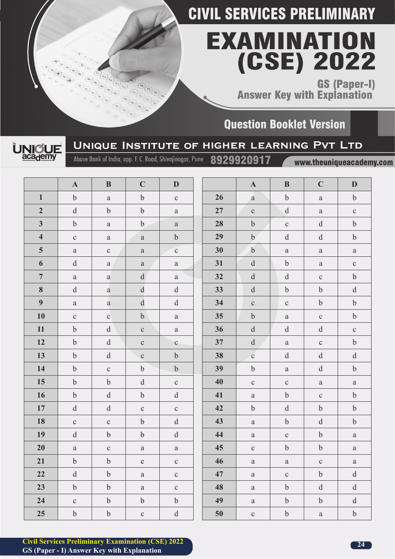# **EXAMINATION** (CSE) 2022

GS (Paper-I)<br>Answer Key with Explanation

### **Question Booklet Version**



### UNIQUE INSTITUTE OF HIGHER LEARNING PVT LTD

Above Bank of India, opp. F. C. Road, Shivajinagar, Pune

 $\widehat{\epsilon}$ 

www.theuniqueacademy.com

|                         | $\mathbf A$                                       | $\bf{B}$                                                                                                                                                                                                                                                                                                                                                                                                                                     | $\mathbf C$                                       | D                                                                                                                                                                                                                                                                                                                                                                                                                                            |        | $\mathbf{A}$                                                                                                                                                                                                                                                                                                                                                                                                                                 | $\bf{B}$                                                                                                                                                                                                                                                                                                                                                                                                                                     | $\mathbf C$                                       | D                                                 |
|-------------------------|---------------------------------------------------|----------------------------------------------------------------------------------------------------------------------------------------------------------------------------------------------------------------------------------------------------------------------------------------------------------------------------------------------------------------------------------------------------------------------------------------------|---------------------------------------------------|----------------------------------------------------------------------------------------------------------------------------------------------------------------------------------------------------------------------------------------------------------------------------------------------------------------------------------------------------------------------------------------------------------------------------------------------|--------|----------------------------------------------------------------------------------------------------------------------------------------------------------------------------------------------------------------------------------------------------------------------------------------------------------------------------------------------------------------------------------------------------------------------------------------------|----------------------------------------------------------------------------------------------------------------------------------------------------------------------------------------------------------------------------------------------------------------------------------------------------------------------------------------------------------------------------------------------------------------------------------------------|---------------------------------------------------|---------------------------------------------------|
| $\mathbf{1}$            | $\mathbf b$                                       | $\rm{a}$                                                                                                                                                                                                                                                                                                                                                                                                                                     | $\boldsymbol{b}$                                  | $\mathbf{C}$                                                                                                                                                                                                                                                                                                                                                                                                                                 | 26     | $\mathbf{a}$                                                                                                                                                                                                                                                                                                                                                                                                                                 | $\mathbf b$                                                                                                                                                                                                                                                                                                                                                                                                                                  | $\rm{a}$                                          | $\boldsymbol{b}$                                  |
| $\overline{2}$          | $\mathrm{d}% \left\  \mathbf{r}_{i}\right\  ^{2}$ | $\mathbf b$                                                                                                                                                                                                                                                                                                                                                                                                                                  | $\boldsymbol{b}$                                  | $\mathbf{a}$                                                                                                                                                                                                                                                                                                                                                                                                                                 | $27\,$ | $\mathbf{C}$                                                                                                                                                                                                                                                                                                                                                                                                                                 | $\mathrm{d}% \left\  \mathbf{r}_{i}^{*}\right\  _{A_{i}}=\mathrm{d}\left\  \mathbf{r}_{i}^{*}\right\  _{A_{i}}=\mathrm{d}\left\  \mathbf{r}_{i}^{*}\right\  _{A_{i}}=\mathrm{d}\left\  \mathbf{r}_{i}^{*}\right\  _{A_{i}}=\mathrm{d}\left\  \mathbf{r}_{i}^{*}\right\  _{A_{i}}=\mathrm{d}\left\  \mathbf{r}_{i}^{*}\right\  _{A_{i}}=\mathrm{d}\left\  \mathbf{r}_{i}^{*}\right\  _{A_{i}}=\mathrm{d}\left\  \mathbf{r}_{i}^{*}\right\  _$ | $\mathbf{a}$                                      | $\mathbf{C}$                                      |
| $\mathbf{3}$            | $\mathbf b$                                       | $\rm{a}$                                                                                                                                                                                                                                                                                                                                                                                                                                     | $\mathbf b$                                       | $\rm{a}$                                                                                                                                                                                                                                                                                                                                                                                                                                     | 28     | $\boldsymbol{b}$                                                                                                                                                                                                                                                                                                                                                                                                                             | $\mathbf{C}$                                                                                                                                                                                                                                                                                                                                                                                                                                 | $\mathbf d$                                       | $\boldsymbol{b}$                                  |
| $\overline{\mathbf{4}}$ | $\mathbf{C}$                                      | $\rm{a}$                                                                                                                                                                                                                                                                                                                                                                                                                                     | $\rm{a}$                                          | $\mathbf b$                                                                                                                                                                                                                                                                                                                                                                                                                                  | 29     | $\mathbf b$                                                                                                                                                                                                                                                                                                                                                                                                                                  | $\rm d$                                                                                                                                                                                                                                                                                                                                                                                                                                      | $\mathbf d$                                       | $\boldsymbol{b}$                                  |
| $5\phantom{.0}$         | $\rm{a}$                                          | $\mathbf{C}$                                                                                                                                                                                                                                                                                                                                                                                                                                 | $\rm{a}$                                          | $\mathbf{C}$                                                                                                                                                                                                                                                                                                                                                                                                                                 | 30     | $\boldsymbol{b}$                                                                                                                                                                                                                                                                                                                                                                                                                             | $\rm{a}$                                                                                                                                                                                                                                                                                                                                                                                                                                     | $\rm{a}$                                          | $\rm{a}$                                          |
| 6                       | $\mathbf d$                                       | $\rm{a}$                                                                                                                                                                                                                                                                                                                                                                                                                                     | $\rm{a}$                                          | $\mathbf{a}$                                                                                                                                                                                                                                                                                                                                                                                                                                 | 31     | ${\rm d}$                                                                                                                                                                                                                                                                                                                                                                                                                                    | $\rm b$                                                                                                                                                                                                                                                                                                                                                                                                                                      | $\mathbf{a}$                                      | $\mathbf C$                                       |
| $\overline{7}$          | $\rm{a}$                                          | $\mathbf{a}$                                                                                                                                                                                                                                                                                                                                                                                                                                 | $\mathbf d$                                       | $\rm{a}$                                                                                                                                                                                                                                                                                                                                                                                                                                     | 32     | $\rm d$                                                                                                                                                                                                                                                                                                                                                                                                                                      | $\mathrm{d}% \left\  \mathbf{r}_{i}\right\  ^{2}$                                                                                                                                                                                                                                                                                                                                                                                            | $\mathbf{C}$                                      | $\boldsymbol{b}$                                  |
| 8                       | $\mathbf d$                                       | $\mathbf{a}$                                                                                                                                                                                                                                                                                                                                                                                                                                 | $\mathrm{d}% \left\  \mathbf{r}_{i}\right\  ^{2}$ | $\mathrm{d}% \left\  \mathbf{M}\right\  ^{2}$                                                                                                                                                                                                                                                                                                                                                                                                | 33     | $\mathrm{d}% \left\  \mathbf{r}_{i}^{*}\right\  _{A_{i}}=\mathrm{d}\left\  \mathbf{r}_{i}^{*}\right\  _{A_{i}}=\mathrm{d}\left\  \mathbf{r}_{i}^{*}\right\  _{A_{i}}=\mathrm{d}\left\  \mathbf{r}_{i}^{*}\right\  _{A_{i}}=\mathrm{d}\left\  \mathbf{r}_{i}^{*}\right\  _{A_{i}}=\mathrm{d}\left\  \mathbf{r}_{i}^{*}\right\  _{A_{i}}=\mathrm{d}\left\  \mathbf{r}_{i}^{*}\right\  _{A_{i}}=\mathrm{d}\left\  \mathbf{r}_{i}^{*}\right\  _$ | $\boldsymbol{b}$                                                                                                                                                                                                                                                                                                                                                                                                                             | $\boldsymbol{b}$                                  | $\rm d$                                           |
| 9 <sup>1</sup>          | $\rm{a}$                                          | $\mathbf{a}$                                                                                                                                                                                                                                                                                                                                                                                                                                 | $\rm d$                                           | $\mathbf d$                                                                                                                                                                                                                                                                                                                                                                                                                                  | 34     | $\mathbf{C}$                                                                                                                                                                                                                                                                                                                                                                                                                                 | $\mathbf{C}$                                                                                                                                                                                                                                                                                                                                                                                                                                 | $\mathbf b$                                       | $\mathbf b$                                       |
| 10                      | $\mathbf{C}$                                      | $\mathbf{C}$                                                                                                                                                                                                                                                                                                                                                                                                                                 | $\mathbf b$                                       | $\rm{a}$                                                                                                                                                                                                                                                                                                                                                                                                                                     | 35     | $\boldsymbol{b}$                                                                                                                                                                                                                                                                                                                                                                                                                             | $\rm{a}$                                                                                                                                                                                                                                                                                                                                                                                                                                     | $\mathbf{C}$                                      | $\boldsymbol{b}$                                  |
| 11                      | $\mathbf b$                                       | $\rm d$                                                                                                                                                                                                                                                                                                                                                                                                                                      | $\mathbf{C}$                                      | $\mathbf{a}$                                                                                                                                                                                                                                                                                                                                                                                                                                 | 36     | $\mathrm{d}% \left\  \mathbf{r}_{i}\right\  ^{2}$                                                                                                                                                                                                                                                                                                                                                                                            | $\mathrm{d}% \left\  \mathbf{r}_{i}\right\  ^{2}$                                                                                                                                                                                                                                                                                                                                                                                            | $\mathrm{d}% \left\  \mathbf{M}\right\  ^{2}$     | $\mathbf C$                                       |
| 12                      | $\rm b$                                           | $\mathbf d$                                                                                                                                                                                                                                                                                                                                                                                                                                  | $\mathbf{C}$                                      | $\mathbf{C}$                                                                                                                                                                                                                                                                                                                                                                                                                                 | 37     | $\mathrm{d}% \left\  \mathbf{M}\right\  ^{2}$                                                                                                                                                                                                                                                                                                                                                                                                | $\rm{a}$                                                                                                                                                                                                                                                                                                                                                                                                                                     | $\mathbf c$                                       | $\boldsymbol{b}$                                  |
| 13                      | $\rm b$                                           | $\mathrm{d}% \left\  \mathbf{r}_{i}\right\  ^{2}$                                                                                                                                                                                                                                                                                                                                                                                            | $\mathbf C$                                       | $\rm b$                                                                                                                                                                                                                                                                                                                                                                                                                                      | 38     | $\rm c$                                                                                                                                                                                                                                                                                                                                                                                                                                      | $\mathrm{d}% \left\  \mathbf{r}_{i}\right\  ^{2}$                                                                                                                                                                                                                                                                                                                                                                                            | $\mathrm{d}% \left\  \mathbf{M}\right\  ^{2}$     | $\mathrm{d}% \left\  \mathbf{G}\right\  ^{2}$     |
| 14                      | $\mathbf b$                                       | $\mathbf{C}$                                                                                                                                                                                                                                                                                                                                                                                                                                 | $\mathbf b$                                       | $\rm b$                                                                                                                                                                                                                                                                                                                                                                                                                                      | 39     | $\rm b$                                                                                                                                                                                                                                                                                                                                                                                                                                      | $\rm{a}$                                                                                                                                                                                                                                                                                                                                                                                                                                     | $\mathrm{d}% \left\  \mathbf{r}_{i}\right\  ^{2}$ | $\boldsymbol{b}$                                  |
| 15                      | $\boldsymbol{b}$                                  | $\rm b$                                                                                                                                                                                                                                                                                                                                                                                                                                      | $\mathrm{d}% \left\  \mathbf{M}\right\  ^{2}$     | $\mathbf{C}$                                                                                                                                                                                                                                                                                                                                                                                                                                 | 40     | $\mathbf{C}$                                                                                                                                                                                                                                                                                                                                                                                                                                 | $\mathbf{C}$                                                                                                                                                                                                                                                                                                                                                                                                                                 | $\mathbf{a}$                                      | $\rm{a}$                                          |
| 16                      | $\mathbf b$                                       | $\mathrm{d}% \left\  \mathcal{A}\right\  _{A}\leq\mathrm{d}\left\  \mathcal{A}\right\  _{A}$                                                                                                                                                                                                                                                                                                                                                 | $\mathbf b$                                       | $\mathrm{d}% \left\  \mathbf{r}_{i}^{*}\right\  _{A_{i}}=\mathrm{d}\left\  \mathbf{r}_{i}^{*}\right\  _{A_{i}}=\mathrm{d}\left\  \mathbf{r}_{i}^{*}\right\  _{A_{i}}=\mathrm{d}\left\  \mathbf{r}_{i}^{*}\right\  _{A_{i}}=\mathrm{d}\left\  \mathbf{r}_{i}^{*}\right\  _{A_{i}}=\mathrm{d}\left\  \mathbf{r}_{i}^{*}\right\  _{A_{i}}=\mathrm{d}\left\  \mathbf{r}_{i}^{*}\right\  _{A_{i}}=\mathrm{d}\left\  \mathbf{r}_{i}^{*}\right\  _$ | 41     | $\rm{a}$                                                                                                                                                                                                                                                                                                                                                                                                                                     | $\mathbf b$                                                                                                                                                                                                                                                                                                                                                                                                                                  | $\mathbf{C}$                                      | $\mathbf b$                                       |
| $17\,$                  | $\mathbf d$                                       | $\mathrm{d}% \left\  \mathbf{r}_{i}^{*}\right\  _{A_{i}}=\mathrm{d}\left\  \mathbf{r}_{i}^{*}\right\  _{A_{i}}=\mathrm{d}\left\  \mathbf{r}_{i}^{*}\right\  _{A_{i}}=\mathrm{d}\left\  \mathbf{r}_{i}^{*}\right\  _{A_{i}}=\mathrm{d}\left\  \mathbf{r}_{i}^{*}\right\  _{A_{i}}=\mathrm{d}\left\  \mathbf{r}_{i}^{*}\right\  _{A_{i}}=\mathrm{d}\left\  \mathbf{r}_{i}^{*}\right\  _{A_{i}}=\mathrm{d}\left\  \mathbf{r}_{i}^{*}\right\  _$ | $\mathbf C$                                       | $\mathbf{C}$                                                                                                                                                                                                                                                                                                                                                                                                                                 | 42     | $\boldsymbol{b}$                                                                                                                                                                                                                                                                                                                                                                                                                             | $\mathrm{d}% \left\  \mathbf{r}_{i}^{*}\right\  _{A_{i}}=\mathrm{d}\left\  \mathbf{r}_{i}^{*}\right\  _{A_{i}}=\mathrm{d}\left\  \mathbf{r}_{i}^{*}\right\  _{A_{i}}=\mathrm{d}\left\  \mathbf{r}_{i}^{*}\right\  _{A_{i}}=\mathrm{d}\left\  \mathbf{r}_{i}^{*}\right\  _{A_{i}}=\mathrm{d}\left\  \mathbf{r}_{i}^{*}\right\  _{A_{i}}=\mathrm{d}\left\  \mathbf{r}_{i}^{*}\right\  _{A_{i}}=\mathrm{d}\left\  \mathbf{r}_{i}^{*}\right\  _$ | $\boldsymbol{b}$                                  | $\boldsymbol{b}$                                  |
| 18                      | $\mathbf{C}$                                      | $\mathbf{C}$                                                                                                                                                                                                                                                                                                                                                                                                                                 | $\boldsymbol{b}$                                  | $\mathbf d$                                                                                                                                                                                                                                                                                                                                                                                                                                  | 43     | $\rm{a}$                                                                                                                                                                                                                                                                                                                                                                                                                                     | $\rm b$                                                                                                                                                                                                                                                                                                                                                                                                                                      | $\mathrm{d}% \left\  \mathbf{M}\right\  ^{2}$     | $\boldsymbol{b}$                                  |
| 19                      | $\mathbf d$                                       | $\boldsymbol{b}$                                                                                                                                                                                                                                                                                                                                                                                                                             | $\mathbf b$                                       | $\mathbf d$                                                                                                                                                                                                                                                                                                                                                                                                                                  | 44     | $\rm{a}$                                                                                                                                                                                                                                                                                                                                                                                                                                     | $\mathbf{C}$                                                                                                                                                                                                                                                                                                                                                                                                                                 | $\mathbf b$                                       | $\rm{a}$                                          |
| 20                      | $\rm{a}$                                          | $\mathbf{C}$                                                                                                                                                                                                                                                                                                                                                                                                                                 | $\rm{a}$                                          | $\mathbf{a}$                                                                                                                                                                                                                                                                                                                                                                                                                                 | 45     | $\mathbf{C}$                                                                                                                                                                                                                                                                                                                                                                                                                                 | $\mathbf b$                                                                                                                                                                                                                                                                                                                                                                                                                                  | $\rm b$                                           | $\rm{a}$                                          |
| 21                      | $\mathbf b$                                       | $\boldsymbol{b}$                                                                                                                                                                                                                                                                                                                                                                                                                             | $\mathbf{C}$                                      | $\mathbf{C}$                                                                                                                                                                                                                                                                                                                                                                                                                                 | 46     | $\rm{a}$                                                                                                                                                                                                                                                                                                                                                                                                                                     | $\rm{a}$                                                                                                                                                                                                                                                                                                                                                                                                                                     | $\mathbf{C}$                                      | $\rm{a}$                                          |
| 22                      | $\mathbf d$                                       | $\boldsymbol{b}$                                                                                                                                                                                                                                                                                                                                                                                                                             | $\rm{a}$                                          | $\mathbf{C}$                                                                                                                                                                                                                                                                                                                                                                                                                                 | 47     | $\rm{a}$                                                                                                                                                                                                                                                                                                                                                                                                                                     | $\mathbf{C}$                                                                                                                                                                                                                                                                                                                                                                                                                                 | $\mathbf b$                                       | $\mathrm{d}% \left\  \mathbf{r}_{i}\right\  ^{2}$ |
| 23                      | $\rm b$                                           | $\rm b$                                                                                                                                                                                                                                                                                                                                                                                                                                      | $\rm{a}$                                          | $\mathbf{C}$                                                                                                                                                                                                                                                                                                                                                                                                                                 | 48     | $\rm{a}$                                                                                                                                                                                                                                                                                                                                                                                                                                     | $\rm b$                                                                                                                                                                                                                                                                                                                                                                                                                                      | $\mathrm{d}% \left\  \mathbf{r}_{i}\right\  ^{2}$ | $\mathbf d$                                       |
| 24                      | $\mathbf{C}$                                      | $\boldsymbol{b}$                                                                                                                                                                                                                                                                                                                                                                                                                             | $\mathbf b$                                       | $\boldsymbol{b}$                                                                                                                                                                                                                                                                                                                                                                                                                             | 49     | $\rm{a}$                                                                                                                                                                                                                                                                                                                                                                                                                                     | $\boldsymbol{b}$                                                                                                                                                                                                                                                                                                                                                                                                                             | $\boldsymbol{b}$                                  | $\mathrm{d}% \left\  \mathbf{r}_{i}\right\  ^{2}$ |
| 25                      | $\rm b$                                           | $\bf b$                                                                                                                                                                                                                                                                                                                                                                                                                                      | $\mathbf{C}$                                      | ${\rm d}$                                                                                                                                                                                                                                                                                                                                                                                                                                    | 50     | $\mathbf{C}$                                                                                                                                                                                                                                                                                                                                                                                                                                 | $\boldsymbol{b}$                                                                                                                                                                                                                                                                                                                                                                                                                             | $\rm{a}$                                          | $\boldsymbol{b}$                                  |